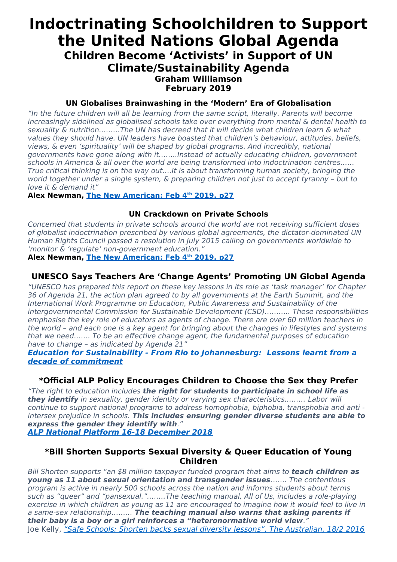# **Indoctrinating Schoolchildren to Support the United Nations Global Agenda Children Become 'Activists' in Support of UN Climate/Sustainability Agenda Graham Williamson February 2019**

#### **UN Globalises Brainwashing in the 'Modern' Era of Globalisation**

"In the future children will all be learning from the same script, literally. Parents will become increasingly sidelined as globalised schools take over everything from mental & dental health to sexuality & nutrition………The UN has decreed that it will decide what children learn & what values they should have. UN leaders have boasted that children's behaviour, attitudes, beliefs, views, & even 'spirituality' will be shaped by global programs. And incredibly, national governments have gone along with it……..Instead of actually educating children, government schools in America & all over the world are being transformed into indoctrination centres…… True critical thinking is on the way out….It is about transforming human society, bringing the world together under a single system, & preparing children not just to accept tyranny - but to love it & demand it"

**Alex Newman, [The New American; Feb 4](http://www.thenewamerican.com/files/TNA3503.pdf)th 2019, p27**

#### **UN Crackdown on Private Schools**

Concerned that students in private schools around the world are not receiving sufficient doses of globalist indoctrination prescribed by various global agreements, the dictator-dominated UN Human Rights Council passed a resolution in July 2015 calling on governments worldwide to 'monitor & 'regulate' non-government education."

**Alex Newman, [The New American; Feb 4](http://www.thenewamerican.com/files/TNA3503.pdf)th 2019, p27**

# **UNESCO Says Teachers Are 'Change Agents' Promoting UN Global Agenda**

"UNESCO has prepared this report on these key lessons in its role as 'task manager' for Chapter 36 of Agenda 21, the action plan agreed to by all governments at the Earth Summit, and the International Work Programme on Education, Public Awareness and Sustainability of the intergovernmental Commission for Sustainable Development (CSD)……….. These responsibilities emphasise the key role of educators as agents of change. There are over 60 million teachers in the world – and each one is a key agent for bringing about the changes in lifestyles and systems that we need……. To be an effective change agent, the fundamental purposes of education have to change – as indicated by Agenda 21"

 **[Education for Sustainability - From Rio to Johannesburg: Lessons learnt from a](http://portal.unesco.org/en/files/5202/10421363810lessons_learnt.doc/lessons_learnt.doc)  [decade of commitment](http://portal.unesco.org/en/files/5202/10421363810lessons_learnt.doc/lessons_learnt.doc)**

# **\*Official ALP Policy Encourages Children to Choose the Sex they Prefer**

"The right to education includes **the right for students to participate in school life as they identify** in sexuality, gender identity or varying sex characteristics……… Labor will continue to support national programs to address homophobia, biphobia, transphobia and anti intersex prejudice in schools. **This includes ensuring gender diverse students are able to express the gender they identify with**."

**[ALP National Platform 16-18 December 2018](https://assets.documentcloud.org/documents/5025178/National-Platform-Final-Draft.pdf)**

#### **\*Bill Shorten Supports Sexual Diversity & Queer Education of Young Children**

Bill Shorten supports "an \$8 million taxpayer funded program that aims to **teach children as young as 11 about sexual orientation and transgender issues**……. The contentious program is active in nearly 500 schools across the nation and informs students about terms such as "queer" and "pansexual."……..The teaching manual, All of Us, includes a role-playing exercise in which children as young as 11 are encouraged to imagine how it would feel to live in a same-sex relationship……… **The teaching manual also warns that asking parents if their baby is a boy or a girl reinforces a "heteronormative world view**." Joe Kelly, ["Safe Schools: Shorten backs sexual diversity lessons", The Australian, 18/2 2016](https://www.theaustralian.com.au/national-affairs/education/safe-schools-shorten-backs-sexual-diversity-lessons/news-story/8ceb41e999f841aafafc50ad11036999?nk=9d6bc147e3c7bb263c217522958d5bd1-1550001977)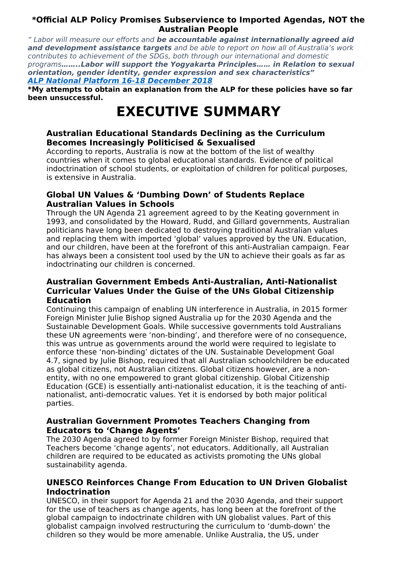# **\*Official ALP Policy Promises Subservience to Imported Agendas, NOT the Australian People**

" Labor will measure our efforts and **be accountable against internationally agreed aid and development assistance targets** and be able to report on how all of Australia's work contributes to achievement of the SDGs, both through our international and domestic programs**……..Labor will support the Yogyakarta Principles…… in Relation to sexual orientation, gender identity, gender expression and sex characteristics" [ALP National Platform 16-18 December 2018](https://assets.documentcloud.org/documents/5025178/National-Platform-Final-Draft.pdf)**

**\*My attempts to obtain an explanation from the ALP for these policies have so far been unsuccessful.**

# **EXECUTIVE SUMMARY**

# **Australian Educational Standards Declining as the Curriculum Becomes Increasingly Politicised & Sexualised**

According to reports, Australia is now at the bottom of the list of wealthy countries when it comes to global educational standards. Evidence of political indoctrination of school students, or exploitation of children for political purposes, is extensive in Australia.

# **Global UN Values & 'Dumbing Down' of Students Replace Australian Values in Schools**

Through the UN Agenda 21 agreement agreed to by the Keating government in 1993, and consolidated by the Howard, Rudd, and Gillard governments, Australian politicians have long been dedicated to destroying traditional Australian values and replacing them with imported 'global' values approved by the UN. Education, and our children, have been at the forefront of this anti-Australian campaign. Fear has always been a consistent tool used by the UN to achieve their goals as far as indoctrinating our children is concerned.

### **Australian Government Embeds Anti-Australian, Anti-Nationalist Curricular Values Under the Guise of the UNs Global Citizenship Education**

Continuing this campaign of enabling UN interference in Australia, in 2015 former Foreign Minister Julie Bishop signed Australia up for the 2030 Agenda and the Sustainable Development Goals. While successive governments told Australians these UN agreements were 'non-binding', and therefore were of no consequence, this was untrue as governments around the world were required to legislate to enforce these 'non-binding' dictates of the UN. Sustainable Development Goal 4.7, signed by Julie Bishop, required that all Australian schoolchildren be educated as global citizens, not Australian citizens. Global citizens however, are a nonentity, with no one empowered to grant global citizenship. Global Citizenship Education (GCE) is essentially anti-nationalist education, it is the teaching of antinationalist, anti-democratic values. Yet it is endorsed by both major political parties.

# **Australian Government Promotes Teachers Changing from Educators to 'Change Agents'**

The 2030 Agenda agreed to by former Foreign Minister Bishop, required that Teachers become 'change agents', not educators. Additionally, all Australian children are required to be educated as activists promoting the UNs global sustainability agenda.

#### **UNESCO Reinforces Change From Education to UN Driven Globalist Indoctrination**

UNESCO, in their support for Agenda 21 and the 2030 Agenda, and their support for the use of teachers as change agents, has long been at the forefront of the global campaign to indoctrinate children with UN globalist values. Part of this globalist campaign involved restructuring the curriculum to 'dumb-down' the children so they would be more amenable. Unlike Australia, the US, under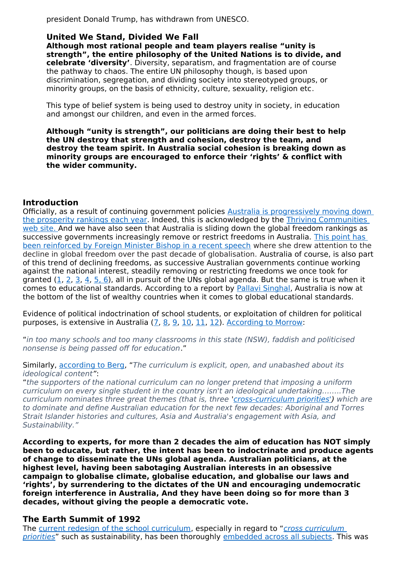president Donald Trump, has withdrawn from UNESCO.

**United We Stand, Divided We Fall**

**Although most rational people and team players realise "unity is strength", the entire philosophy of the United Nations is to divide, and celebrate 'diversity'**. Diversity, separatism, and fragmentation are of course the pathway to chaos. The entire UN philosophy though, is [based upon](http://www.thenewamerican.com/files/TNA3503.pdf)  [discrimination, segregation, and dividing society into stereotyped groups, or](http://www.thenewamerican.com/files/TNA3503.pdf)  [minority groups, on the basis of ethnicity, culture, sexuality, religion etc.](http://www.thenewamerican.com/files/TNA3503.pdf)

This type of belief system is being used to destroy unity in society, in education and amongst our children, and even in the armed forces.

**Although "unity is strength", our politicians are doing their best to help the UN destroy that strength and cohesion, destroy the team, and destroy the team spirit. In Australia social cohesion is breaking down as minority groups are encouraged to enforce their 'rights' & conflict with the wider community.**

#### **Introduction**

Officially, as a result of continuing government policies [Australia is progressively moving down](http://www.prosperity.com/globe/australia)  [the prosperity rankings each year.](http://www.prosperity.com/globe/australia) Indeed, this is acknowledged by the [Thriving Communities](https://www.thriving.org.au/about-tcp)  web site. And we have also seen that Australia is sliding down the global freedom rankings as successive governments increasingly remove or restrict freedoms in Australia. This point has [been reinforced by Foreign Minister Bishop in a recent speech](https://foreignminister.gov.au/speeches/Pages/2018/jb_sp_180411.aspx) where she drew attention to the decline in global freedom over the past decade of globalisation. Australia of course, is also part of this trend of declining freedoms, as successive Australian governments continue working against the national interest, steadily removing or restricting freedoms we once took for granted  $(1, 2, 3, 4, 5, 6)$  $(1, 2, 3, 4, 5, 6)$  $(1, 2, 3, 4, 5, 6)$  $(1, 2, 3, 4, 5, 6)$  $(1, 2, 3, 4, 5, 6)$  $(1, 2, 3, 4, 5, 6)$ , all in pursuit of the UNs global agenda. But the same is true when it comes to educational standards. According to a report by [Pallavi Singhal,](https://www.smh.com.au/education/un-agency-ranks-australia-39-out-of-41-countries-for-quality-education-20170615-gwrt9u.html) Australia is now at the bottom of the list of wealthy countries when it comes to global educational standards.

Evidence of political indoctrination of school students, or exploitation of children for political purposes, is extensive in Australia  $(7, 8, 9, 10, 11, 12)$  $(7, 8, 9, 10, 11, 12)$  $(7, 8, 9, 10, 11, 12)$  $(7, 8, 9, 10, 11, 12)$  $(7, 8, 9, 10, 11, 12)$  $(7, 8, 9, 10, 11, 12)$ . [According to Morrow:](https://www.google.com.au/url?sa=t&rct=j&q=&esrc=s&source=web&cd=1&cad=rja&uact=8&ved=2ahUKEwjd0-nEncbcAhUETrwKHRTnBLYQFjAAegQIABAB&url=https%3A%2F%2Fwww.dailytelegraph.com.au%2Fnews%2Fopinion%2Foverhaul-of-faddish-politicised-nsw-curriculum-long-overdue%2Fnews-story%2Fa85e7740b281242d4bb191d2e1cb2893&usg=AOvVaw0jOVjEbsuNH1aepVrsSiY5)

"in too many schools and too many classrooms in this state (NSW), faddish and politicised nonsense is being passed off for education."

Similarly, [according to Berg,](http://www.abc.net.au/news/2014-01-14/berg-the-farce-of-an-ideologically-neutral-curriculum/5198884) "The curriculum is explicit, open, and unabashed about its ideological content":

"the supporters of the national curriculum can no longer pretend that imposing a uniform curriculum on every single student in the country isn't an ideological undertaking……..The curriculum nominates three great themes (that is, three '[cross-curriculum priorities'\)](https://www.australiancurriculum.edu.au/f-10-curriculum/languages/cross-curriculum-priorities) which are to dominate and define Australian education for the next few decades: Aboriginal and Torres Strait Islander histories and cultures, Asia and Australia's engagement with Asia, and Sustainability."

**According to experts, for more than 2 decades the aim of education has NOT simply been to educate, but rather, the intent has been to indoctrinate and produce agents of change to disseminate the UNs global agenda. Australian politicians, at the highest level, having been sabotaging Australian interests in an obsessive campaign to globalise climate, globalise education, and globalise our laws and 'rights', by surrendering to the dictates of the UN and encouraging undemocratic foreign interference in Australia, And they have been doing so for more than 3 decades, without giving the people a democratic vote.** 

#### **The Earth Summit of 1992**

The [current redesign of the school curriculum,](https://ministers.education.gov.au/pyne/better-national-curriculum-all-australian-students) especially in regard to "cross curriculum [priorities](http://www.acara.edu.au/verve/_resources/Information_Sheet_Cross-curriculum_priorities.pdf)" such as sustainability, has been thoroughly [embedded across all subjects.](http://www.acara.edu.au/verve/_resources/Information_Sheet_Cross-curriculum_priorities.pdf) This was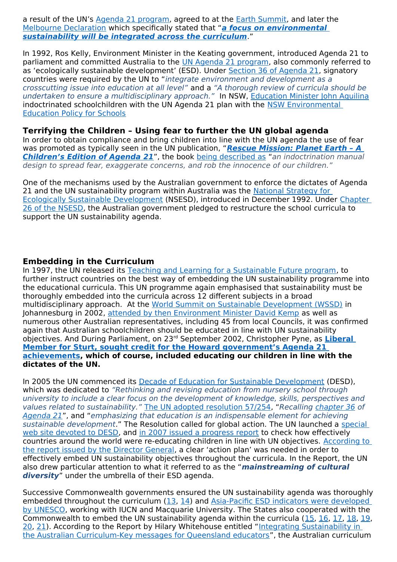a result of the UN's [Agenda 21 program,](https://sustainabledevelopment.un.org/outcomedocuments/agenda21) agreed to at the [Earth Summit,](http://www.un.org/geninfo/bp/enviro.html) and later the [Melbourne Declaration](http://www.curriculum.edu.au/verve/_resources/National_Declaration_on_the_Educational_Goals_for_Young_Australians.pdf) which specifically stated that "**[a focus on environmental](http://www.curriculum.edu.au/verve/_resources/National_Declaration_on_the_Educational_Goals_for_Young_Australians.pdf)   [sustainability will be integrated across the curriculum](http://www.curriculum.edu.au/verve/_resources/National_Declaration_on_the_Educational_Goals_for_Young_Australians.pdf)**."

In 1992, Ros Kelly, Environment Minister in the Keating government, introduced Agenda 21 to parliament and committed Australia to the [UN Agenda 21 program,](http://www.galileomovement.com.au/docs/gw/Agenda21inAustralia_2.pdf) also commonly referred to as 'ecologically sustainable development' (ESD). Under [Section 36 of Agenda 21,](https://sustainabledevelopment.un.org/content/documents/Agenda21.pdf) signatory countries were required by the UN to "integrate environment and development as a crosscutting issue into education at all level" and a "A thorough review of curricula should be undertaken to ensure a multidisciplinary approach." In NSW, [Education Minister John Aquilina](https://en.wikipedia.org/wiki/John_Aquilina) indoctrinated schoolchildren with the UN Agenda 21 plan with the [NSW Environmental](http://web.archive.org/web/20060822103023/https:/www.det.nsw.edu.au/policies/curriculum/schools/envir_educ/pd02_49_Environmental_policy.pdf)  [Education Policy for Schools](http://web.archive.org/web/20060822103023/https:/www.det.nsw.edu.au/policies/curriculum/schools/envir_educ/pd02_49_Environmental_policy.pdf)

# **Terrifying the Children – Using fear to further the UN global agenda**

In order to obtain compliance and bring children into line with the UN agenda the use of fear was promoted as typically seen in the UN publication, "**[Rescue Mission: Planet Earth – A](https://federalexpression.wordpress.com/2012/09/05/rescue-mission-planet-earth-a-childrens-edition-of-agenda-21/)   [Children's Edition of Agenda 21](https://federalexpression.wordpress.com/2012/09/05/rescue-mission-planet-earth-a-childrens-edition-of-agenda-21/)**", the book [being described as](https://federalexpression.wordpress.com/2012/09/05/rescue-mission-planet-earth-a-childrens-edition-of-agenda-21/) "an indoctrination manual design to spread fear, exaggerate concerns, and rob the innocence of our children."

One of the mechanisms used by the Australian government to enforce the dictates of Agenda 21 and the UN sustainability program within Australia was the [National Strategy for](http://www.environment.gov.au/about-us/esd/publications/national-esd-strategy)  [Ecologically Sustainable Development](http://www.environment.gov.au/about-us/esd/publications/national-esd-strategy) (NSESD), introduced in December 1992. Under [Chapter](http://www.environment.gov.au/node/13016)  [26 of the NSESD,](http://www.environment.gov.au/node/13016) the Australian government pledged to restructure the school curricula to support the UN sustainability agenda.

# **Embedding in the Curriculum**

In 1997, the UN released its [Teaching and Learning for a Sustainable Future program,](http://www.unesco.org/education/tlsf/) to further instruct countries on the best way of embedding the UN sustainability programme into the educational curricula. This UN programme again emphasised that sustainability must be thoroughly embedded into the curricula across 12 different subjects in a broad multidisciplinary approach. At the [World Summit on Sustainable Development \(WSSD\)](https://sustainabledevelopment.un.org/milesstones/wssd) in Johannesburg in 2002, [attended by then Environment Minister David Kemp](https://web.archive.org/web/20150818184237/http:/www.environment.gov.au/about-us/international/wssd) as well as numerous other Australian representatives, including 45 from local Councils, it was confirmed again that Australian schoolchildren should be educated in line with UN sustainability objectives. And During Parliament, on 23rd September 2002, Christopher Pyne, as **[Liberal](https://web.archive.org/web/20130708043354/http:/www.law.unimelb.edu.au/files/dmfile/House_of_Representatives_debate_on_the_Corporations_Amendment_23_September_20022.pdf)  [Member for Sturt, sought credit for the Howard government's Agenda 21](https://web.archive.org/web/20130708043354/http:/www.law.unimelb.edu.au/files/dmfile/House_of_Representatives_debate_on_the_Corporations_Amendment_23_September_20022.pdf)  [achievements,](https://web.archive.org/web/20130708043354/http:/www.law.unimelb.edu.au/files/dmfile/House_of_Representatives_debate_on_the_Corporations_Amendment_23_September_20022.pdf) which of course, included educating our children in line with the dictates of the UN.**

In 2005 the UN commenced its [Decade of Education for Sustainable Development](http://unesdoc.unesco.org/images/0014/001416/141629e.pdf) (DESD), which was dedicated to "Rethinking and revising education from nursery school through university to include a clear focus on the development of knowledge, skills, perspectives and values related to sustainability." [The UN adopted resolution 57/254,](http://www.un-documents.net/a57r254.htm) "Recalling [chapter 36](http://www.un-documents.net/a21-36.htm) of [Agenda 21](http://www.un-documents.net/agenda21.htm)", and "emphasizing that education is an indispensable element for achieving sustainable development." The Resolution called for global action. The UN launched a special [web site devoted to DESD,](https://web.archive.org/web/20150320125355/http:/www.desd.org/index.html) and [in 2007 issued a progress report](https://web.archive.org/web/20150320081631/http:/www.desd.org/ESD%20across%20the%20World.html) to check how effectively countries around the world were re-educating children in line with UN objectives. According to [the report issued by the Director General,](https://web.archive.org/web/20161222142212/http:/www.desd.org/Progress%20Report%20by%20DG%20on%20UN%20DESD.pdf) a clear 'action plan' was needed in order to effectively embed UN sustainability objectives throughout the curricula. In the Report, the UN also drew particular attention to what it referred to as the "**mainstreaming of cultural diversity**" under the umbrella of their ESD agenda.

Successive Commonwealth governments ensured the UN sustainability agenda was thoroughly embedded throughout the curriculum [\(13,](https://web.archive.org/web/20160825041910/http:/www.environment.gov.au/sustainability/education/publications/living-sustainably-national-action-plan) [14\)](https://www.australiancurriculum.edu.au/f-10-curriculum/languages/cross-curriculum-priorities) and Asia-Pacific ESD indicators were developed [by UNESCO,](https://web.archive.org/web/20160328050327/http:/www.desd.org/ESD%20across%20the%20World.html) working with IUCN and Macquarie University. The States also cooperated with the Commonwealth to embed the UN sustainability agenda within the curricula [\(15,](https://web.archive.org/web/20160414153220/http:/www.curriculumsupport.education.nsw.gov.au/env_ed/) [16,](http://www.environment.nsw.gov.au/sustainableschools/) [17,](http://www.environment.nsw.gov.au/sustainableschools/cross-curriculum.htm) [18,](https://7508gbs.wordpress.com/2015/05/24/sustainability-education-in-australia/) [19,](https://web.archive.org/web/20130409173745/http:/calmsleyhill.com.au/downloads/curriculum-framework.pdf) [20,](https://web.archive.org/web/20160416012807/http:/ausvels.vcaa.vic.edu.au/CrossCurriculumPriorities/Sustainability) [21\)](http://www.sustainableschools.qld.edu.au/Default.aspx?tabid=574). According to the Report by Hilary Whitehouse entitled "Integrating Sustainability in [the Australian Curriculum-Key messages for Queensland educators"](https://www.qcaa.qld.edu.au/downloads/events/pd_conf_ac_2014_s1_hilary_whitehouse.pdf), the Australian curriculum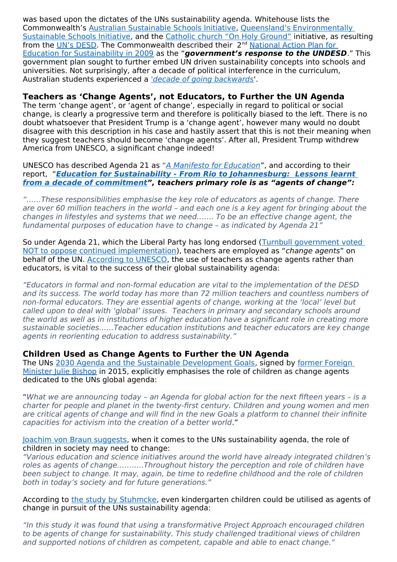was based upon the dictates of the UNs sustainability agenda. Whitehouse lists the Commonwealth's [Australian Sustainable Schools Initiative,](http://www.education4sustainability.org/2012/08/21/the-australian-sustainable-schools-initiative-aussi/) [Queensland's Environmentally](http://www.sustainableschools.qld.edu.au/Default.aspx?tabid=574)  [Sustainable Schools Initiative,](http://www.sustainableschools.qld.edu.au/Default.aspx?tabid=574) and the [Catholic church "On Holy Ground"](https://web.archive.org/web/20090718224131/http:/www.onholyground.edu.au/) initiative, as resulting from the [UN's DESD.](http://unesdoc.unesco.org/images/0014/001416/141629e.pdf) The Commonwealth described their 2<sup>nd</sup> National Action Plan for [Education for Sustainability in 2009](https://web.archive.org/web/20160328083027/http:/www.environment.gov.au/system/files/resources/13887ab8-7e03-4b3e-82bb-139b2205a0af/files/national-action-plan.pdf) as the "**government's response to the UNDESD**." This government plan sought to further embed UN driven sustainability concepts into schools and universities. Not surprisingly, after a decade of political interference in the curriculum, Australian students experienced a ['decade of going backwards](http://www.news.com.au/national/south-australia/national-curriculum-will-be-reviewed-to-improve-results-of-australian-students-after-decade-of-going-backwards/news-story/cc522ddc60e85fb5dfe168340489a5a2)'.

# **Teachers as 'Change Agents', not Educators, to Further the UN Agenda**

The term 'change agent', or 'agent of change', especially in regard to political or social change, is clearly a progressive term and therefore is politically biased to the left. There is no doubt whatsoever that President Trump is a 'change agent', however many would no doubt disagree with this description in his case and hastily assert that this is not their meaning when they suggest teachers should become 'change agents'. After all, President Trump withdrew America from UNESCO, a significant change indeed!

UNESCO has described Agenda 21 as "[A Manifesto for Education](http://portal.unesco.org/en/files/5202/10421363810lessons_learnt.doc/lessons_learnt.doc)", and according to their report, " **[Education for Sustainability - From Rio to Johannesburg: Lessons learnt](http://portal.unesco.org/en/files/5202/10421363810lessons_learnt.doc/lessons_learnt.doc)  [from a decade of commitment"](http://portal.unesco.org/en/files/5202/10421363810lessons_learnt.doc/lessons_learnt.doc), teachers primary role is as "agents of change":**

"……These responsibilities emphasise the key role of educators as agents of change. There are over 60 million teachers in the world – and each one is a key agent for bringing about the changes in lifestyles and systems that we need……. To be an effective change agent, the fundamental purposes of education have to change – as indicated by Agenda 21"

So under Agenda 21, which the Liberal Party has long endorsed (Turnbull government voted [NOT to oppose continued implementation\)](https://www.un.org/Docs/journal/asp/ws.asp?m=A/71/463/Add.1), teachers are employed as "change agents" on behalf of the UN. [According to UNESCO,](https://web.archive.org/web/20161105162923/http:/www.unesco.org/new/en/education/themes/leading-the-international-agenda/education-for-sustainable-development/partners/educators/) the use of teachers as change agents rather than educators, is vital to the success of their global sustainability agenda:

"Educators in formal and non-formal education are vital to the implementation of the DESD and its success. The world today has more than 72 million teachers and countless numbers of non-formal educators. They are essential agents of change, working at the 'local' level but called upon to deal with 'global' issues. Teachers in primary and secondary schools around the world as well as in institutions of higher education have a significant role in creating more sustainable societies……Teacher education institutions and teacher educators are key change agents in reorienting education to address sustainability."

#### **Children Used as Change Agents to Further the UN Agenda**

The UNs [2030 Agenda and the Sustainable Development Goals,](https://sustainabledevelopment.un.org/post2015/transformingourworld) signed by [former Foreign](https://foreignminister.gov.au/releases/Pages/2015/jb_mr_150925b.aspx?w=tb1CaGpkPX%2FlS0K%2Bg9ZKEg%3D%3D)  [Minister Julie Bishop](https://foreignminister.gov.au/releases/Pages/2015/jb_mr_150925b.aspx?w=tb1CaGpkPX%2FlS0K%2Bg9ZKEg%3D%3D) in 2015, explicitly emphasises the role of children as change agents dedicated to the UNs global agenda:

"What we are announcing today – an Agenda for global action for the next fifteen years – is a charter for people and planet in the twenty-first century. Children and young women and men are critical agents of change and will find in the new Goals a platform to channel their infinite capacities for activism into the creation of a better world."

#### [Joachim von Braun suggests,](https://www.springer.com/cda/content/document/cda_downloaddocument/9783319471297-c2.pdf?SGWID=0-0-45-1597377-p180292739) when it comes to the UNs sustainability agenda, the role of children in society may need to change:

"Various education and science initiatives around the world have already integrated children's roles as agents of change………..Throughout history the perception and role of children have been subject to change. It may, again, be time to redefine childhood and the role of children both in today's society and for future generations."

According to [the study by Stuhmcke,](http://eprints.qut.edu.au/61005/1/Sharon_Stuhmcke_Thesis.pdf) even kindergarten children could be utilised as agents of change in pursuit of the UNs sustainability agenda:

"In this study it was found that using a transformative Project Approach encouraged children to be agents of change for sustainability. This study challenged traditional views of children and supported notions of children as competent, capable and able to enact change."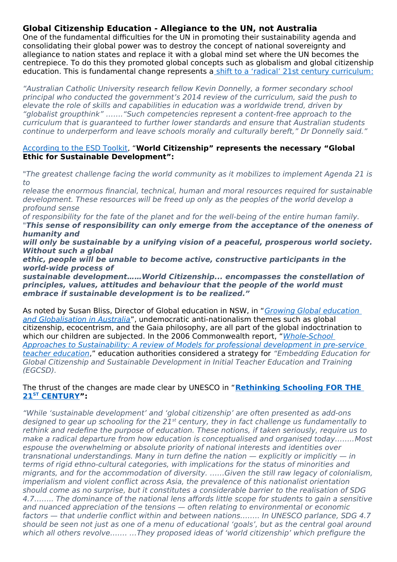# **Global Citizenship Education - Allegiance to the UN, not Australia**

One of the fundamental difficulties for the UN in promoting their sustainability agenda and consolidating their global power was to destroy the concept of national sovereignty and allegiance to nation states and replace it with a global mind set where the UN becomes the centrepiece. To do this they promoted global concepts such as globalism and global citizenship education. This is fundamental change represents [a shift to a 'radical' 21st century curriculum :](https://www.theaustralian.com.au/national-affairs/education/students-set-for-shift-to-radical-21st-century-curriculum/news-story/154ab425050615a4ed240687ed53fad5?utm_source=The%20Australian&utm_medium=email&utm_campaign=editorial&utm_content=TodaySHeadlines&nk=cbae6b86ec464f954768baafa3e9b3c8-1537075956)

"Australian Catholic University research fellow Kevin Donnelly, a former secondary school principal who conducted the government's 2014 review of the curriculum, said the push to elevate the role of skills and capabilities in education was a worldwide trend, driven by "globalist groupthink" ……."Such competencies represent a content-free approach to the curriculum that is guaranteed to further lower standards and ensure that Australian students continue to underperform and leave schools morally and culturally bereft," Dr Donnelly said."

#### [According to the ESD Toolkit,](http://www.esdtoolkit.org/esd_toolkit_v2.pdf) "**World Citizenship" represents the necessary "Global Ethic for Sustainable Development":**

"The greatest challenge facing the world community as it mobilizes to implement Agenda 21 is to

release the enormous financial, technical, human and moral resources required for sustainable development. These resources will be freed up only as the peoples of the world develop a profound sense

of responsibility for the fate of the planet and for the well-being of the entire human family. "**This sense of responsibility can only emerge from the acceptance of the oneness of humanity and**

**will only be sustainable by a unifying vision of a peaceful, prosperous world society. Without such a global**

**ethic, people will be unable to become active, constructive participants in the world-wide process of**

**sustainable development……World Citizenship... encompasses the constellation of principles, values, attitudes and behaviour that the people of the world must embrace if sustainable development is to be realized."**

As noted by Susan Bliss, Director of Global education in NSW, in "Growing Global education [and Globalisation in Australia](http://web.archive.org/web/20140222144423/http:/www.ptc.nsw.edu.au/SiteMedia/w3svc361/Uploads/Documents/26.%20GE%20AND%20GLOBALISATION%20IN%20AUSTRALIA.pdf)", undemocratic anti-nationalism themes such as global citizenship, ecocentrism, and the Gaia philosophy, are all part of the global indoctrination to which our children are subjected. In the 2006 Commonwealth report, "*Whole-School*  [Approaches to Sustainability: A review of Models for professional development in pre-service](http://aries.mq.edu.au/projects/preservice/files/TeacherEduDec06.pdf)  [teacher education](http://aries.mq.edu.au/projects/preservice/files/TeacherEduDec06.pdf)," education authorities considered a strategy for "Embedding Education for Global Citizenship and Sustainable Development in Initial Teacher Education and Training (EGCSD).

#### The thrust of the changes are made clear by UNESCO in "**[Rethinking Schooling FOR THE](https://www.researchgate.net/publication/321267766_Rethinking_Schooling_for_the_21st_Century_The_State_of_Education_for_Peace_Sustainable_Development_and_Global_Citizenship_in_Asia)  21ST  [CENTURY"](https://www.researchgate.net/publication/321267766_Rethinking_Schooling_for_the_21st_Century_The_State_of_Education_for_Peace_Sustainable_Development_and_Global_Citizenship_in_Asia):**

"While 'sustainable development' and 'global citizenship' are often presented as add-ons designed to gear up schooling for the  $21^{st}$  century, they in fact challenge us fundamentally to rethink and redefine the purpose of education. These notions, if taken seriously, require us to make a radical departure from how education is conceptualised and organised today……..Most espouse the overwhelming or absolute priority of national interests and identities over transnational understandings. Many in turn define the nation  $-$  explicitly or implicitly  $-$  in terms of rigid ethno-cultural categories, with implications for the status of minorities and migrants, and for the accommodation of diversity. ……Given the still raw legacy of colonialism, imperialism and violent conflict across Asia, the prevalence of this nationalist orientation should come as no surprise, but it constitutes a considerable barrier to the realisation of SDG 4.7…….. The dominance of the national lens affords little scope for students to gain a sensitive and nuanced appreciation of the tensions — often relating to environmental or economic factors — that underlie conflict within and between nations…….. In UNESCO parlance, SDG 4.7 should be seen not just as one of a menu of educational 'goals', but as the central goal around which all others revolve....... ...They proposed ideas of 'world citizenship' which prefigure the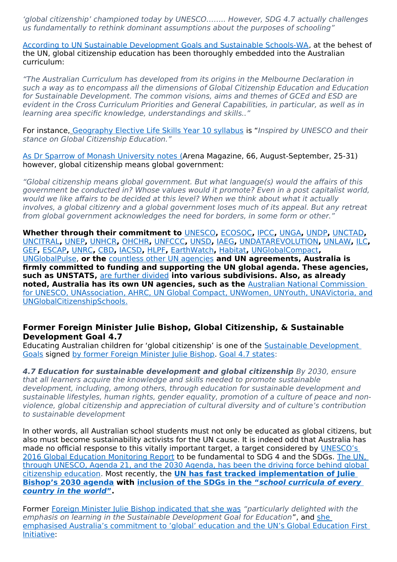'global citizenship' championed today by UNESCO…….. However, SDG 4.7 actually challenges us fundamentally to rethink dominant assumptions about the purposes of schooling"

[According to UN Sustainable Development Goals and Sustainable Schools-WA,](http://det.wa.edu.au/curriculumsupport/sustainableschools/detcms/cms-service/download/asset/?asset_id=19581942) at the behest of the UN, global citizenship education has been thoroughly embedded into the Australian curriculum:

"The Australian Curriculum has developed from its origins in the Melbourne Declaration in such a way as to encompass all the dimensions of Global Citizenship Education and Education for Sustainable Development. The common visions, aims and themes of GCEd and ESD are evident in the Cross Curriculum Priorities and General Capabilities, in particular, as well as in learning area specific knowledge, understandings and skills.."

For instance, [Geography Elective Life Skills Year 10 syllabus](https://educationstandards.nsw.edu.au/wps/wcm/connect/934643af-68ab-441a-a0bc-2209f6fe57b8/sample-unit-geography-elective-stage-5-global-citizenship.docx?MOD=AJPERES&CVID) is "Inspired by UNESCO and their stance on Global Citizenship Education."

 [As Dr Sparrow of Monash University notes](https://web.archive.org/web/20150914231026/http:/profiles.arts.monash.edu.au/rob-sparrow/download/rsparrow-arena-borders.pdf) (Arena Magazine, 66, August-September, 25-31) however, global citizenship means global government:

"Global citizenship means global government. But what language(s) would the affairs of this government be conducted in? Whose values would it promote? Even in a post capitalist world, would we like affairs to be decided at this level? When we think about what it actually involves, a global citizenry and a global government loses much of its appeal. But any retreat from global government acknowledges the need for borders, in some form or other."

**Whether through their commitment to** [UNESCO](http://en.unesco.org/)**,** [ECOSOC](https://www.un.org/ecosoc/en/home)**,** [IPCC](http://www.ipcc.ch/)**,** [UNGA](http://www.un.org/en/ga/)**,** [UNDP](http://www.undp.org/content/undp/en/home.html)**,** [UNCTAD](http://unctad.org/en/Pages/Home.aspx)**,**  [UNCITRAL](http://www.uncitral.org/)**,** [UNEP](http://www.unep.org/)**,** [UNHCR](http://www.unhcr.org/en-au)**,** [OHCHR](http://www.ohchr.org/EN/pages/home.aspx)**,** [UNFCCC](http://unfccc.int/2860.php)**,** [UNSD](https://unstats.un.org/home/)**,** [IAEG](https://unstats.un.org/sdgs/iaeg-sdgs/)**,** [UNDATAREVOLUTION](http://www.undatarevolution.org/)**,** [UNLAW](https://www.un.org/ruleoflaw/)**,** [ILC](http://legal.un.org/ilc/)**,**  [GEF](http://www.gefweb.org/)**,** [ESCAP](http://www.unescap.org/)**,** [UNRC](http://www.regionalcommissions.org/)**,** [CBD](http://www.biodiv.org/)**,** [IACSD](http://www.un.org/esa/sustdev/iacsd.htm)**,** [HLPF](https://sustainabledevelopment.un.org/hlpf)**,** [EarthWatch](http://www.un.org/earthwatch/)**,** [Habitat](https://unhabitat.org/)**,** [UNGlobalCompact](https://www.unglobalcompact.org/)**,**  [UNGlobalPulse,](http://www.unglobalpulse.org/) **or the** [countless other UN agencies](http://www.un.org/en/aboutun/structure/pdfs/UN_System_Chart_30June2015.pdf) **and UN agreements, Australia is firmly committed to funding and supporting the UN global agenda. These agencies, such as UNSTATS,** [are further divided](https://unstats.un.org/unsd/osd.htm) **into various subdivisions. Also, as already noted, Australia has its own UN agencies, such as the** [Australian National Commission](http://dfat.gov.au/international-relations/international-organisations/un/unesco/Pages/australian-national-commission-for-unesco.aspx)  for UNESCO, UNAssociation, AHRC, UN Global Compact, UNWomen, UNYouth, UNAVictoria, and  [UNGlobalCitizenshipSchools.](https://www.unaa.org.au/wp-content/uploads/2015/10/wa-unaa-global-citizenship-schools-flier-v5.pdf)

# **Former Foreign Minister Julie Bishop, Global Citizenship, & Sustainable Development Goal 4.7**

Educating Australian children for 'global citizenship' is one of the [Sustainable Development](https://sustainabledevelopment.un.org/post2015/transformingourworld)  [Goals](https://sustainabledevelopment.un.org/post2015/transformingourworld) signed [by former Foreign Minister Julie Bishop.](https://foreignminister.gov.au/speeches/Pages/2015/jb_sp_150927b.aspx?w=tb1CaGpkPX%2FlS0K%2Bg9ZKEg%3D%3D) [Goal 4.7 states:](http://uis.unesco.org/sites/default/files/documents/gaml4-measurement-strategy-sdg-target4.7.pdf)

**4.7 Education for sustainable development and global citizenship** By 2030, ensure that all learners acquire the knowledge and skills needed to promote sustainable development, including, among others, through education for sustainable development and sustainable lifestyles, human rights, gender equality, promotion of a culture of peace and nonviolence, global citizenship and appreciation of cultural diversity and of culture's contribution to sustainable development

In other words, all Australian school students must not only be educated as global citizens, but also must become sustainability activists for the UN cause. It is indeed odd that Australia has made no official response to this vitally important target, a target considered by UNESCO's [2016 Global Education Monitoring Report](http://unesdoc.unesco.org/images/0024/002457/245752e.pdf) to be fundamental to SDG 4 and the SDGs. [The UN,](http://www.bloomsbury.com/uk/global-citizenship-education-and-the-crises-of-multiculturalism-9781474235983/)  [through UNESCO, Agenda 21, and the 2030 Agenda, has been the driving force behind global](http://www.bloomsbury.com/uk/global-citizenship-education-and-the-crises-of-multiculturalism-9781474235983/)  [citizenship education.](http://www.bloomsbury.com/uk/global-citizenship-education-and-the-crises-of-multiculturalism-9781474235983/) Most recently, the **[UN has fast tracked implementation of Julie](http://www.un.org/apps/news/story.asp?NewsID=55507#.WCdWBclrPSH)  [Bishop's 2030 agenda](http://www.un.org/apps/news/story.asp?NewsID=55507#.WCdWBclrPSH) with [inclusion of the SDGs in the "](http://www.un.org/pga/71/2016/11/08/sdg-implementation-strategy/) school curricula of every  [country in the world](http://www.un.org/pga/71/2016/11/08/sdg-implementation-strategy/) ".**

Former [Foreign Minister Julie Bishop indicated that she was](http://foreignminister.gov.au/speeches/Pages/2015/jb_sp_150926.aspx?w=tb1CaGpkPX%2FlS0K%2Bg9ZKEg%3D%3D) "particularly delighted with the emphasis on learning in the Sustainable Development Goal for Education", and [she](http://www.unesco.org/new/en/gefi/partnerships/gefi-champion-countries/australia/)  [emphasised Australia's commitment to 'global' education and the UN's Global Education First](http://www.unesco.org/new/en/gefi/partnerships/gefi-champion-countries/australia/)  [Initiative:](http://www.unesco.org/new/en/gefi/partnerships/gefi-champion-countries/australia/)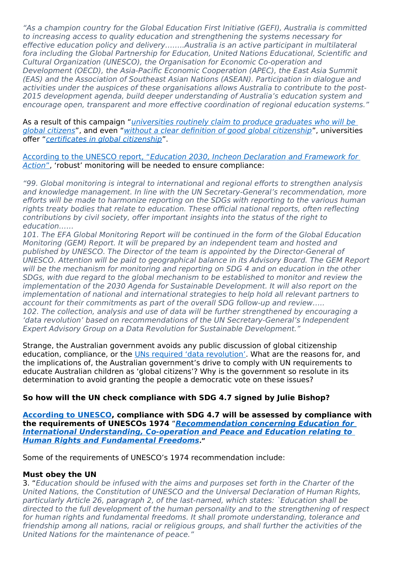"As a champion country for the Global Education First Initiative (GEFI), Australia is committed to increasing access to quality education and strengthening the systems necessary for effective education policy and delivery……..Australia is an active participant in multilateral fora including the Global Partnership for Education, United Nations Educational, Scientific and Cultural Organization (UNESCO), the Organisation for Economic Co-operation and Development (OECD), the Asia-Pacific Economic Cooperation (APEC), the East Asia Summit (EAS) and the Association of Southeast Asian Nations (ASEAN). Participation in dialogue and activities under the auspices of these organisations allows Australia to contribute to the post-2015 development agenda, build deeper understanding of Australia's education system and encourage open, transparent and more effective coordination of regional education systems."

As a result of this campaign "*universities routinely claim to produce graduates who will be* [global citizens](http://www.theaustralian.com.au/higher-education/opinion/more-than-an-overseas-experience-rethinking-global-citizenship-teaching/news-story/d79ab648019813fb9bba2be0f90e210b)", and even "[without a clear definition of good global citizenship](http://www.theaustralian.com.au/higher-education/opinion/more-than-an-overseas-experience-rethinking-global-citizenship-teaching/news-story/d79ab648019813fb9bba2be0f90e210b)", universities offer "[certificates in global citizenship](http://www.uow.edu.au/handbook/yr2016/pg/H16008076.html)".

 According to the UNESCO report, " [Education 2030, Incheon Declaration](http://unesdoc.unesco.org/images/0024/002456/245656E.pdf) and Framework for Action", 'robust' monitoring will be needed to ensure compliance:

"99. Global monitoring is integral to international and regional efforts to strengthen analysis and knowledge management. In line with the UN Secretary-General's recommendation, more efforts will be made to harmonize reporting on the SDGs with reporting to the various human rights treaty bodies that relate to education. These official national reports, often reflecting contributions by civil society, offer important insights into the status of the right to education……

101. The EFA Global Monitoring Report will be continued in the form of the Global Education Monitoring (GEM) Report. It will be prepared by an independent team and hosted and published by UNESCO. The Director of the team is appointed by the Director-General of UNESCO. Attention will be paid to geographical balance in its Advisory Board. The GEM Report will be the mechanism for monitoring and reporting on SDG 4 and on education in the other SDGs, with due regard to the global mechanism to be established to monitor and review the implementation of the 2030 Agenda for Sustainable Development. It will also report on the implementation of national and international strategies to help hold all relevant partners to account for their commitments as part of the overall SDG follow-up and review….. 102. The collection, analysis and use of data will be further strengthened by encouraging a 'data revolution' based on recommendations of the UN Secretary-General's Independent Expert Advisory Group on a Data Revolution for Sustainable Development."

Strange, the Australian government avoids any public discussion of global citizenship education, compliance, or the [UNs required 'data revolution'.](http://www.undatarevolution.org/) What are the reasons for, and the implications of, the Australian government's drive to comply with UN requirements to educate Australian children as 'global citizens'? Why is the government so resolute in its determination to avoid granting the people a democratic vote on these issues?

#### **So how will the UN check compliance with SDG 4.7 signed by Julie Bishop?**

**[According to UNESCO,](http://www.unesco.org/new/en/media-services/single-view/news/unesco_1974_recommendation_used_to_measure_progress_towards/) compliance with SDG 4.7 will be assessed by compliance with the requirements of UNESCOs 1974** "**[Recommendation concerning Education for](http://portal.unesco.org/en/ev.php-URL_ID=13088&URL_DO=DO_TOPIC&URL_SECTION=201.html)  [International Understanding, Co-operation and Peace and Education relating to](http://portal.unesco.org/en/ev.php-URL_ID=13088&URL_DO=DO_TOPIC&URL_SECTION=201.html)  [Human Rights and Fundamental Freedoms](http://portal.unesco.org/en/ev.php-URL_ID=13088&URL_DO=DO_TOPIC&URL_SECTION=201.html)."**

Some of the requirements of UNESCO's 1974 recommendation include:

#### **Must obey the UN**

3. "Education should be infused with the aims and purposes set forth in the Charter of the United Nations, the Constitution of UNESCO and the Universal Declaration of Human Rights, particularly Article 26, paragraph 2, of the last-named, which states: `Education shall be directed to the full development of the human personality and to the strengthening of respect for human rights and fundamental freedoms. It shall promote understanding, tolerance and friendship among all nations, racial or religious groups, and shall further the activities of the United Nations for the maintenance of peace."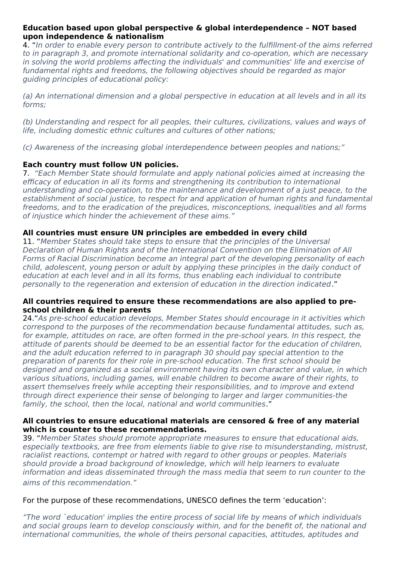#### **Education based upon global perspective & global interdependence – NOT based upon independence & nationalism**

4. "In order to enable every person to contribute actively to the fulfillment-of the aims referred to in paragraph 3, and promote international solidarity and co-operation, which are necessary in solving the world problems affecting the individuals' and communities' life and exercise of fundamental rights and freedoms, the following objectives should be regarded as major guiding principles of educational policy:

(a) An international dimension and a global perspective in education at all levels and in all its forms;

(b) Understanding and respect for all peoples, their cultures, civilizations, values and ways of life, including domestic ethnic cultures and cultures of other nations;

(c) Awareness of the increasing global interdependence between peoples and nations;"

#### **Each country must follow UN policies.**

7. "Each Member State should formulate and apply national policies aimed at increasing the efficacy of education in all its forms and strengthening its contribution to international understanding and co-operation, to the maintenance and development of a just peace, to the establishment of social justice, to respect for and application of human rights and fundamental freedoms, and to the eradication of the prejudices, misconceptions, inequalities and all forms of injustice which hinder the achievement of these aims."

#### **All countries must ensure UN principles are embedded in every child**

11. "Member States should take steps to ensure that the principles of the Universal Declaration of Human Rights and of the International Convention on the Elimination of All Forms of Racial Discrimination become an integral part of the developing personality of each child, adolescent, young person or adult by applying these principles in the daily conduct of education at each level and in all its forms, thus enabling each individual to contribute personally to the regeneration and extension of education in the direction indicated."

#### **All countries required to ensure these recommendations are also applied to preschool children & their parents**

24."As pre-school education develops, Member States should encourage in it activities which correspond to the purposes of the recommendation because fundamental attitudes, such as, for example, attitudes on race, are often formed in the pre-school years. In this respect, the attitude of parents should be deemed to be an essential factor for the education of children, and the adult education referred to in paragraph 30 should pay special attention to the preparation of parents for their role in pre-school education. The first school should be designed and organized as a social environment having its own character and value, in which various situations, including games, will enable children to become aware of their rights, to assert themselves freely while accepting their responsibilities, and to improve and extend through direct experience their sense of belonging to larger and larger communities-the family, the school, then the local, national and world communities."

#### **All countries to ensure educational materials are censored & free of any material which is counter to these recommendations.**

39. "Member States should promote appropriate measures to ensure that educational aids, especially textbooks, are free from elements liable to give rise to misunderstanding, mistrust, racialist reactions, contempt or hatred with regard to other groups or peoples. Materials should provide a broad background of knowledge, which will help learners to evaluate information and ideas disseminated through the mass media that seem to run counter to the aims of this recommendation."

#### For the purpose of these recommendations, UNESCO defines the term 'education':

"The word `education' implies the entire process of social life by means of which individuals and social groups learn to develop consciously within, and for the benefit of, the national and international communities, the whole of theirs personal capacities, attitudes, aptitudes and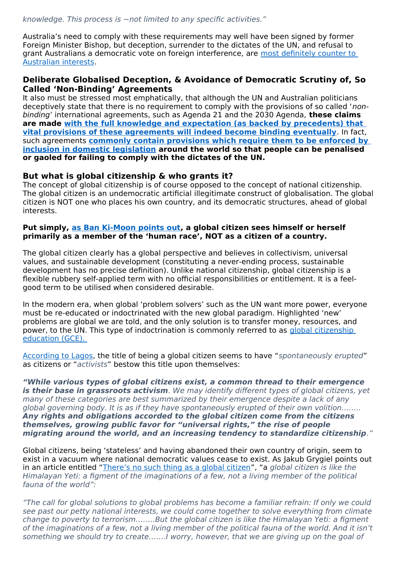#### knowledge. This process is ~not limited to any specific activities."

Australia's need to comply with these requirements may well have been signed by former Foreign Minister Bishop, but deception, surrender to the dictates of the UN, and refusal to grant Australians a democratic vote on foreign interference, are [most definitely counter to](https://www.fpwhitepaper.gov.au/sites/default/files/submission/170124-100-graham-williamson.pdf)  [Australian interests.](https://www.fpwhitepaper.gov.au/sites/default/files/submission/170124-100-graham-williamson.pdf)

#### **Deliberate Globalised Deception, & Avoidance of Democratic Scrutiny of, So Called 'Non-Binding' Agreements**

It also must be stressed most emphatically, that although the UN and Australian politicians deceptively state that there is no requirement to comply with the provisions of so called 'nonbinding' international agreements, such as Agenda 21 and the 2030 Agenda, **these claims are made [with the full knowledge and expectation \(as backed by precedents\) that](http://theclimatescepticsparty.blogspot.com/2019/01/subversion-of-democracy-by-persistent.html)  [vital provisions of these agreements will indeed become binding eventually](http://theclimatescepticsparty.blogspot.com/2019/01/subversion-of-democracy-by-persistent.html)**. In fact, such agreements **[commonly contain provisions which require them to be enforced by](http://theclimatescepticsparty.blogspot.com/2019/01/subversion-of-democracy-by-persistent.html)  [inclusion in domestic legislation](http://theclimatescepticsparty.blogspot.com/2019/01/subversion-of-democracy-by-persistent.html) around the world so that people can be penalised or gaoled for failing to comply with the dictates of the UN.**

#### **But what is global citizenship & who grants it?**

The concept of global citizenship is of course opposed to the concept of national citizenship. The global citizen is an undemocratic artificial illegitimate construct of globalisation. The global citizen is NOT one who places his own country, and its democratic structures, ahead of global interests.

#### **Put simply, [as Ban Ki-Moon points out,](https://bankimooncentre.org/mission) a global citizen sees himself or herself primarily as a member of the 'human race', NOT as a citizen of a country.**

The global citizen clearly has a global perspective and believes in collectivism, universal values, and sustainable development (constituting a never-ending process, sustainable development has no precise definition). Unlike national citizenship, global citizenship is a flexible rubbery self-applied term with no official responsibilities or entitlement. It is a feelgood term to be utilised when considered desirable.

In the modern era, when global 'problem solvers' such as the UN want more power, everyone must be re-educated or indoctrinated with the new global paradigm. Highlighted 'new' problems are global we are told, and the only solution is to transfer money, resources, and power, to the UN. This type of indoctrination is commonly referred to as global citizenship  [education \(GCE\).](https://web.archive.org/web/20160405123439/http:/en.unesco.org/gced)

[According to Lagos,](https://depts.washington.edu/gcp/pdf/globalcitizenship.pdf) the title of being a global citizen seems to have "spontaneously erupted" as citizens or "activists" bestow this title upon themselves:

**"While various types of global citizens exist, a common thread to their emergence is their base in grassroots activism**. We may identify different types of global citizens, yet many of these categories are best summarized by their emergence despite a lack of any global governing body. It is as if they have spontaneously erupted of their own volition…….. **Any rights and obligations accorded to the global citizen come from the citizens themselves, growing public favor for "universal rights," the rise of people migrating around the world, and an increasing tendency to standardize citizenship**."

Global citizens, being 'stateless' and having abandoned their own country of origin, seem to exist in a vacuum where national democratic values cease to exist. As Jakub Grygiel points out in an article entitled ["There's no such thing as a global citizen"](http://www.washingtonpost.com/opinions/theres-no-such-thing-as-a-global-citizen/2013/12/06/2924cae6-5d0a-11e3-bc56-c6ca94801fac_story.html), "a global citizen is like the Himalayan Yeti: a figment of the imaginations of a few, not a living member of the political fauna of the world":

"The call for global solutions to global problems has become a familiar refrain: If only we could see past our petty national interests, we could come together to solve everything from climate change to poverty to terrorism……..But the global citizen is like the Himalayan Yeti: a figment of the imaginations of a few, not a living member of the political fauna of the world. And it isn't something we should try to create…….I worry, however, that we are giving up on the goal of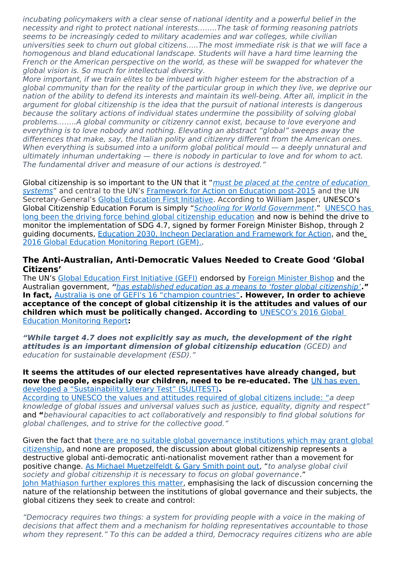incubating policymakers with a clear sense of national identity and a powerful belief in the necessity and right to protect national interests……..The task of forming reasoning patriots seems to be increasingly ceded to military academies and war colleges, while civilian universities seek to churn out global citizens…..The most immediate risk is that we will face a homogenous and bland educational landscape. Students will have a hard time learning the French or the American perspective on the world, as these will be swapped for whatever the global vision is. So much for intellectual diversity.

More important, if we train elites to be imbued with higher esteem for the abstraction of a global community than for the reality of the particular group in which they live, we deprive our nation of the ability to defend its interests and maintain its well-being. After all, implicit in the argument for global citizenship is the idea that the pursuit of national interests is dangerous because the solitary actions of individual states undermine the possibility of solving global problems……..A global community or citizenry cannot exist, because to love everyone and everything is to love nobody and nothing. Elevating an abstract "global" sweeps away the differences that make, say, the Italian polity and citizenry different from the American ones. When everything is subsumed into a uniform global political mould — a deeply unnatural and ultimately inhuman undertaking — there is nobody in particular to love and for whom to act. The fundamental driver and measure of our actions is destroyed."

Global citizenship is so important to the UN that it "*must be placed at the centre of education* [systems](http://www.thenewamerican.com/culture/education/item/20038-schooling-for-world-gov-t-unesco-s-global-citizenship-education-forum-kicks-off-2015-agenda)" and central to the UN's [Framework for Action on Education post-2015](https://web.archive.org/web/20150501140202/http:/en.unesco.org/world-education-forum-2015/post-2015/education-post-2015-process) and the UN Secretary-General's [Global Education First Initiative.](http://www.globaleducationfirst.org/) According to William Jasper, UNESCO's Global Citizenship Education Forum is simply "[Schooling for World Government](http://www.thenewamerican.com/culture/education/item/20038-schooling-for-world-gov-t-unesco-s-global-citizenship-education-forum-kicks-off-2015-agenda)." UNESCO has [long been the driving force behind global citizenship education](http://en.unesco.org/gced/approach) and now is behind the drive to monitor the implementation of SDG 4.7, signed by former Foreign Minister Bishop, through 2 guiding documents, [Education 2030, Incheon Declaration and Framework for Action,](http://unesdoc.unesco.org/images/0024/002456/245656E.pdf) and the  [2016 Global Education Monitoring Report \(GEM\).](http://unesdoc.unesco.org/images/0024/002457/245752e.pdf).

#### **The Anti-Australian, Anti-Democratic Values Needed to Create Good 'Global Citizens'**

The UN's [Global Education First Initiative \(GEFI\)](http://www.unesco.org/new/en/gefi/home/) endorsed by [Foreign Minister Bishop](http://www.unesco.org/new/en/gefi/partnerships/gefi-champion-countries/australia/) and the Australian government, **"**[has established education as a means to 'foster global citizenship'](http://unesdoc.unesco.org/images/0022/002277/227729e.pdf)**." In fact,** [Australia is one of GEFI's 16 "champion countries"](https://web.archive.org/web/20170308171119/http:/www.unesco.org/new/en/gefi/partnerships/gefi-champion-countries/)**. However, In order to achieve acceptance of the concept of global citizenship it is the attitudes and values of our children which must be politically changed. According to** [UNESCO's 2016 Global](http://unesdoc.unesco.org/images/0024/002457/245752e.pdf)  [Education Monitoring Report](http://unesdoc.unesco.org/images/0024/002457/245752e.pdf)**:**

**"While target 4.7 does not explicitly say as much, the development of the right attitudes is an important dimension of global citizenship education** (GCED) and education for sustainable development (ESD)."

#### **It seems the attitudes of our elected representatives have already changed, but now the people, especially our children, need to be re-educated. The** [UN has even](https://sustainabledevelopment.un.org/partnership/?p=9551)  [developed a "Sustainability Literary Test" \(SULITEST\)](https://sustainabledevelopment.un.org/partnership/?p=9551)**.**

 [According to UNESCO the values and attitudes required of global citizens include:](http://unesdoc.unesco.org/images/0022/002277/227729e.pdf) "a deep knowledge of global issues and universal values such as justice, equality, dignity and respect" and **"**behavioural capacities to act collaboratively and responsibly to find global solutions for global challenges, and to strive for the collective good."

Given the fact that [there are no suitable global governance institutions which may grant global](https://web.archive.org/web/20150212015524/http:/www.kosmosjournal.org/article/what-does-it-mean-to-be-a-global-citizen/) [citizenship,](https://web.archive.org/web/20150212015524/http:/www.kosmosjournal.org/article/what-does-it-mean-to-be-a-global-citizen/) and none are proposed, the discussion about global citizenship represents a destructive global anti-democratic anti-nationalist movement rather than a movement for positive change. [As Michael Muetzelfeldt & Gary Smith point out,](http://www.tandfonline.com/doi/abs/10.1080/13621020220118759?journalCode=ccst20) "to analyse global civil society and global citizenship it is necessary to focus on global governance." [John Mathiason further explores this matter,](http://www.un.org/esa/socdev/egms/docs/2012/WorldCitizenship.pdf) emphasising the lack of discussion concerning the nature of the relationship between the institutions of global governance and their subjects, the global citizens they seek to create and control:

"Democracy requires two things: a system for providing people with a voice in the making of decisions that affect them and a mechanism for holding representatives accountable to those whom they represent." To this can be added a third, Democracy requires citizens who are able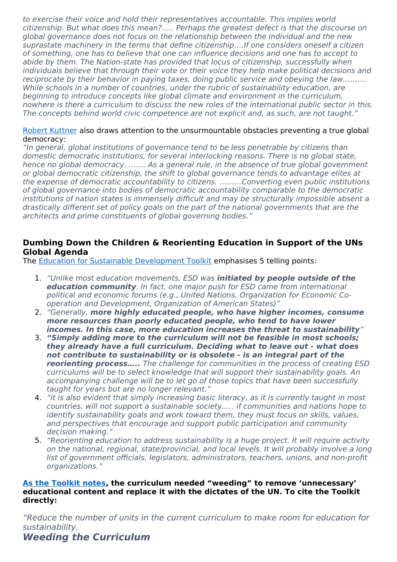to exercise their voice and hold their representatives accountable. This implies world citizenship. But what does this mean?..... Perhaps the greatest defect is that the discourse on global governance does not focus on the relationship between the individual and the new suprastate machinery in the terms that define citizenship….If one considers oneself a citizen of something, one has to believe that one can influence decisions and one has to accept to abide by them. The Nation-state has provided that locus of citizenship, successfully when individuals believe that through their vote or their voice they help make political decisions and reciprocate by their behavior in paying taxes, doing public service and obeying the law………. While schools in a number of countries, under the rubric of sustainability education, are beginning to introduce concepts like global climate and environment in the curriculum, nowhere is there a curriculum to discuss the new roles of the international public sector in this. The concepts behind world civic competence are not explicit and, as such, are not taught."

#### [Robert Kuttner](https://web.archive.org/web/20150404191839/http:/www.demos.org/publication/global-governance-capital-challenge-democracy) also draws attention to the unsurmountable obstacles preventing a true global democracy:

"In general, global institutions of governance tend to be less penetrable by citizens than domestic democratic institutions, for several interlocking reasons. There is no global state, hence no global democracy. ……. As a general rule, in the absence of true global government or global democratic citizenship, the shift to global governance tends to advantage elites at the expense of democratic accountability to citizens. ………Converting even public institutions of global governance into bodies of democratic accountability comparable to the democratic institutions of nation states is immensely difficult and may be structurally impossible absent a drastically different set of policy goals on the part of the national governments that are the architects and prime constituents of global governing bodies."

# **Dumbing Down the Children & Reorienting Education in Support of the UNs Global Agenda**

The [Education for Sustainable Development Toolkit](http://www.esdtoolkit.org/esd_toolkit_v2.pdf) emphasises 5 telling points:

- 1. "Unlike most education movements, ESD was **initiated by people outside of the education community**. In fact, one major push for ESD came from international political and economic forums (e.g., United Nations, Organization for Economic Cooperation and Development, Organization of American States)"
- 2. "Generally, **more highly educated people, who have higher incomes, consume more resources than poorly educated people, who tend to have lower incomes. In this case, more education increases the threat to sustainability**"
- 3. **"Simply adding more to the curriculum will not be feasible in most schools; they already have a full curriculum. Deciding what to leave out - what does not contribute to sustainability or is obsolete - is an integral part of the reorienting process…..** The challenge for communities in the process of creating ESD curriculums will be to select knowledge that will support their sustainability goals. An accompanying challenge will be to let go of those topics that have been successfully taught for years but are no longer relevant."
- 4. "it is also evident that simply increasing basic literacy, as it is currently taught in most countries, will not support a sustainable society….. if communities and nations hope to identify sustainability goals and work toward them, they must focus on skills, values, and perspectives that encourage and support public participation and community decision making."
- 5. "Reorienting education to address sustainability is a huge project. It will require activity on the national, regional, state/provincial, and local levels. It will probably involve a long list of government officials, legislators, administrators, teachers, unions, and non-profit organizations."

#### **[As the Toolkit notes,](http://www.esdtoolkit.org/esd_toolkit_v2.pdf) the curriculum needed "weeding" to remove 'unnecessary' educational content and replace it with the dictates of the UN. To cite the Toolkit directly:**

"Reduce the number of units in the current curriculum to make room for education for sustainability.

# **Weeding the Curriculum**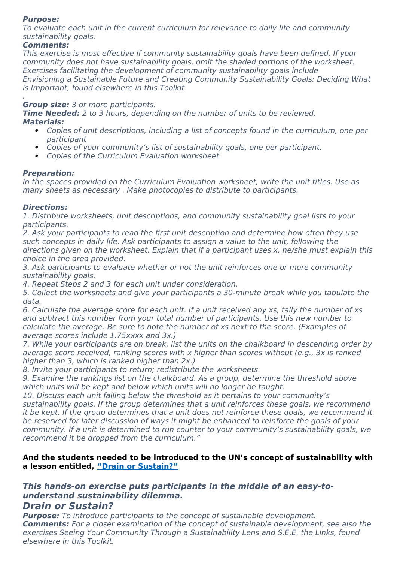#### **Purpose:**

To evaluate each unit in the current curriculum for relevance to daily life and community sustainability goals.

### **Comments:**

This exercise is most effective if community sustainability goals have been defined. If your community does not have sustainability goals, omit the shaded portions of the worksheet. Exercises facilitating the development of community sustainability goals include Envisioning a Sustainable Future and Creating Community Sustainability Goals: Deciding What is Important, found elsewhere in this Toolkit

#### . **Group size:** 3 or more participants.

**Time Needed:** 2 to 3 hours, depending on the number of units to be reviewed. **Materials:**

- Copies of unit descriptions, including a list of concepts found in the curriculum, one per participant
- Copies of your community's list of sustainability goals, one per participant.
- Copies of the Curriculum Evaluation worksheet.

# **Preparation:**

In the spaces provided on the Curriculum Evaluation worksheet, write the unit titles. Use as many sheets as necessary . Make photocopies to distribute to participants.

#### **Directions:**

1. Distribute worksheets, unit descriptions, and community sustainability goal lists to your participants.

2. Ask your participants to read the first unit description and determine how often they use such concepts in daily life. Ask participants to assign a value to the unit, following the directions given on the worksheet. Explain that if a participant uses x, he/she must explain this choice in the area provided.

3. Ask participants to evaluate whether or not the unit reinforces one or more community sustainability goals.

4. Repeat Steps 2 and 3 for each unit under consideration.

5. Collect the worksheets and give your participants a 30-minute break while you tabulate the data.

6. Calculate the average score for each unit. If a unit received any xs, tally the number of xs and subtract this number from your total number of participants. Use this new number to calculate the average. Be sure to note the number of xs next to the score. (Examples of average scores include 1.75xxxx and 3x.)

7. While your participants are on break, list the units on the chalkboard in descending order by average score received, ranking scores with x higher than scores without (e.g., 3x is ranked higher than 3, which is ranked higher than 2x.)

8. Invite your participants to return; redistribute the worksheets.

9. Examine the rankings list on the chalkboard. As a group, determine the threshold above which units will be kept and below which units will no longer be taught.

10. Discuss each unit falling below the threshold as it pertains to your community's sustainability goals. If the group determines that a unit reinforces these goals, we recommend it be kept. If the group determines that a unit does not reinforce these goals, we recommend it be reserved for later discussion of ways it might be enhanced to reinforce the goals of your community. If a unit is determined to run counter to your community's sustainability goals, we recommend it be dropped from the curriculum."

#### **And the students needed to be introduced to the UN's concept of sustainability with a lesson entitled, ["Drain or Sustain?"](http://www.esdtoolkit.org/esd_toolkit_v2.pdf)**

# **This hands-on exercise puts participants in the middle of an easy-tounderstand sustainability dilemma.**

# **Drain or Sustain?**

**Purpose:** To introduce participants to the concept of sustainable development. **Comments:** For a closer examination of the concept of sustainable development, see also the exercises Seeing Your Community Through a Sustainability Lens and S.E.E. the Links, found elsewhere in this Toolkit.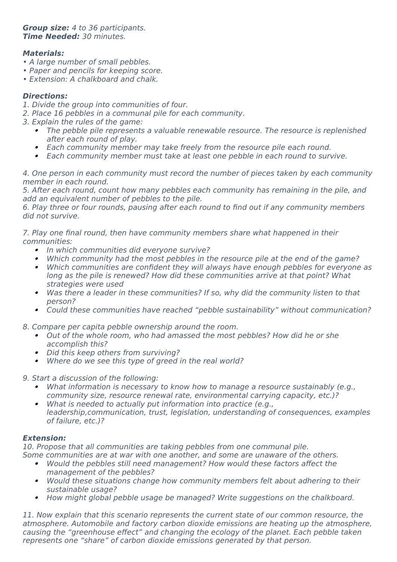#### **Group size:** 4 to 36 participants. **Time Needed:** 30 minutes.

# **Materials:**

- A large number of small pebbles.
- Paper and pencils for keeping score.
- Extension: A chalkboard and chalk.

#### **Directions:**

- 1. Divide the group into communities of four.
- 2. Place 16 pebbles in a communal pile for each community.
- 3. Explain the rules of the game:
	- The pebble pile represents a valuable renewable resource. The resource is replenished after each round of play.
	- Each community member may take freely from the resource pile each round.
	- Each community member must take at least one pebble in each round to survive.

4. One person in each community must record the number of pieces taken by each community member in each round.

5. After each round, count how many pebbles each community has remaining in the pile, and add an equivalent number of pebbles to the pile.

6. Play three or four rounds, pausing after each round to find out if any community members did not survive.

7. Play one final round, then have community members share what happened in their communities:

- In which communities did everyone survive?
- . Which community had the most pebbles in the resource pile at the end of the game?
- Which communities are confident they will always have enough pebbles for everyone as long as the pile is renewed? How did these communities arrive at that point? What strategies were used
- Was there a leader in these communities? If so, why did the community listen to that person?
- Could these communities have reached "pebble sustainability" without communication?
- 8. Compare per capita pebble ownership around the room.
	- Out of the whole room, who had amassed the most pebbles? How did he or she accomplish this?
	- Did this keep others from surviving?
	- Where do we see this type of greed in the real world?
- 9. Start a discussion of the following:
	- What information is necessary to know how to manage a resource sustainably (e.g., community size, resource renewal rate, environmental carrying capacity, etc.)?
	- What is needed to actually put information into practice (e.g., leadership,communication, trust, legislation, understanding of consequences, examples of failure, etc.)?

#### **Extension:**

10. Propose that all communities are taking pebbles from one communal pile. Some communities are at war with one another, and some are unaware of the others.

- Would the pebbles still need management? How would these factors affect the management of the pebbles?
- Would these situations change how community members felt about adhering to their sustainable usage?
- How might global pebble usage be managed? Write suggestions on the chalkboard.

11. Now explain that this scenario represents the current state of our common resource, the atmosphere. Automobile and factory carbon dioxide emissions are heating up the atmosphere, causing the "greenhouse effect" and changing the ecology of the planet. Each pebble taken represents one "share" of carbon dioxide emissions generated by that person.